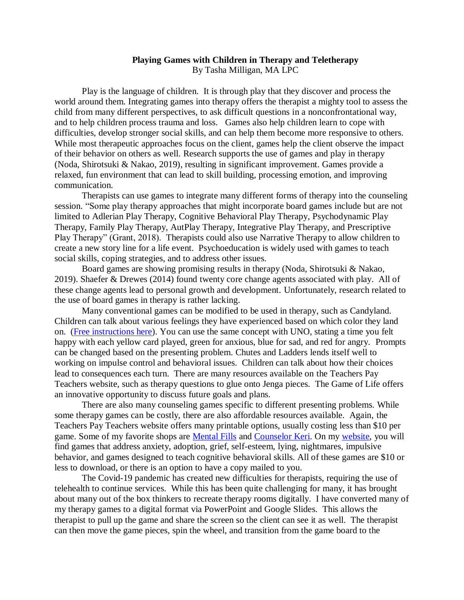## **Playing Games with Children in Therapy and Teletherapy**  By Tasha Milligan, MA LPC

Play is the language of children. It is through play that they discover and process the world around them. Integrating games into therapy offers the therapist a mighty tool to assess the child from many different perspectives, to ask difficult questions in a nonconfrontational way, and to help children process trauma and loss. Games also help children learn to cope with difficulties, develop stronger social skills, and can help them become more responsive to others. While most therapeutic approaches focus on the client, games help the client observe the impact of their behavior on others as well. Research supports the use of games and play in therapy (Noda, Shirotsuki & Nakao, 2019), resulting in significant improvement. Games provide a relaxed, fun environment that can lead to skill building, processing emotion, and improving communication.

Therapists can use games to integrate many different forms of therapy into the counseling session. "Some play therapy approaches that might incorporate board games include but are not limited to Adlerian Play Therapy, Cognitive Behavioral Play Therapy, Psychodynamic Play Therapy, Family Play Therapy, AutPlay Therapy, Integrative Play Therapy, and Prescriptive Play Therapy" (Grant, 2018). Therapists could also use Narrative Therapy to allow children to create a new story line for a life event. Psychoeducation is widely used with games to teach social skills, coping strategies, and to address other issues.

Board games are showing promising results in therapy (Noda, Shirotsuki & Nakao, 2019). Shaefer & Drewes (2014) found twenty core change agents associated with play. All of these change agents lead to personal growth and development. Unfortunately, research related to the use of board games in therapy is rather lacking.

Many conventional games can be modified to be used in therapy, such as Candyland. Children can talk about various feelings they have experienced based on which color they land on. [\(Free instructions here\)](https://www.pathwaystopeacecounseling.com/product-page/feelings-candy-land-game-instructions). You can use the same concept with UNO, stating a time you felt happy with each yellow card played, green for anxious, blue for sad, and red for angry. Prompts can be changed based on the presenting problem. Chutes and Ladders lends itself well to working on impulse control and behavioral issues. Children can talk about how their choices lead to consequences each turn. There are many resources available on the Teachers Pay Teachers website, such as therapy questions to glue onto Jenga pieces. The Game of Life offers an innovative opportunity to discuss future goals and plans.

There are also many counseling games specific to different presenting problems. While some therapy games can be costly, there are also affordable resources available. Again, the Teachers Pay Teachers website offers many printable options, usually costing less than \$10 per game. Some of my favorite shops are [Mental Fills](https://www.teacherspayteachers.com/Store/Mental-Fills-Counseling-Tools) and [Counselor Keri.](https://www.teacherspayteachers.com/Store/Counselor-Keri) On my [website,](https://www.pathwaystopeacecounseling.com/product-page/be-heard-in-your-herd-telehealth-online-version) you will find games that address anxiety, adoption, grief, self-esteem, lying, nightmares, impulsive behavior, and games designed to teach cognitive behavioral skills. All of these games are \$10 or less to download, or there is an option to have a copy mailed to you.

The Covid-19 pandemic has created new difficulties for therapists, requiring the use of telehealth to continue services. While this has been quite challenging for many, it has brought about many out of the box thinkers to recreate therapy rooms digitally. I have converted many of my therapy games to a digital format via PowerPoint and Google Slides. This allows the therapist to pull up the game and share the screen so the client can see it as well. The therapist can then move the game pieces, spin the wheel, and transition from the game board to the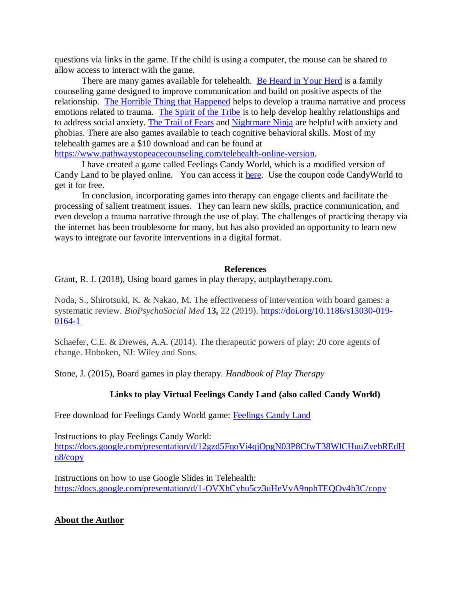questions via links in the game. If the child is using a computer, the mouse can be shared to allow access to interact with the game.

There are many games available for telehealth. [Be Heard in Your Herd](https://www.pathwaystopeacecounseling.com/product-page/be-heard-in-your-herd-telehealth-online-version) is a family counseling game designed to improve communication and build on positive aspects of the relationship. [The Horrible Thing that Happened](https://www.pathwaystopeacecounseling.com/product-page/the-horrible-thing-that-happened-telehealth-version) helps to develop a trauma narrative and process emotions related to trauma. [The Spirit of the Tribe](https://www.pathwaystopeacecounseling.com/product-page/spirit-of-the-tribe-belonging-in-friendship-telehealth-online-version) is to help develop healthy relationships and to address social anxiety. [The Trail of Fears](https://www.pathwaystopeacecounseling.com/product-page/trail-of-fears-telehealth-online-version) and [Nightmare Ninja](https://www.pathwaystopeacecounseling.com/product-page/nightmare-ninja-telehealth-online-version) are helpful with anxiety and phobias. There are also games available to teach cognitive behavioral skills. Most of my telehealth games are a \$10 download and can be found at

[https://www.pathwaystopeacecounseling.com/telehealth-online-version.](https://www.pathwaystopeacecounseling.com/telehealth-online-version)

I have created a game called Feelings Candy World, which is a modified version of Candy Land to be played online. You can access it [here.](https://www.pathwaystopeacecounseling.com/product-page/feelings-candy-world-free-telehealth-game) Use the coupon code CandyWorld to get it for free.

In conclusion, incorporating games into therapy can engage clients and facilitate the processing of salient treatment issues. They can learn new skills, practice communication, and even develop a trauma narrative through the use of play. The challenges of practicing therapy via the internet has been troublesome for many, but has also provided an opportunity to learn new ways to integrate our favorite interventions in a digital format.

## **References**

Grant, R. J. (2018), Using board games in play therapy, autplaytherapy.com.

Noda, S., Shirotsuki, K. & Nakao, M. The effectiveness of intervention with board games: a systematic review. *BioPsychoSocial Med* **13,** 22 (2019). [https://doi.org/10.1186/s13030-019-](https://doi.org/10.1186/s13030-019-0164-1) [0164-1](https://doi.org/10.1186/s13030-019-0164-1)

Schaefer, C.E. & Drewes, A.A. (2014). The therapeutic powers of play: 20 core agents of change. Hoboken, NJ: Wiley and Sons.

Stone, J. (2015), Board games in play therapy. *Handbook of Play Therapy*

## **Links to play Virtual Feelings Candy Land (also called Candy World)**

Free download for Feelings Candy World game: [Feelings Candy Land](https://www.pathwaystopeacecounseling.com/product-page/feelings-candy-land-game-instructions)

Instructions to play Feelings Candy World: [https://docs.google.com/presentation/d/12gzd5FqoVi4qjOpgN03P8CfwT38WlCHuuZvebREdH](https://docs.google.com/presentation/d/12gzd5FqoVi4qjOpgN03P8CfwT38WlCHuuZvebREdHn8/copy) [n8/copy](https://docs.google.com/presentation/d/12gzd5FqoVi4qjOpgN03P8CfwT38WlCHuuZvebREdHn8/copy)

Instructions on how to use Google Slides in Telehealth: <https://docs.google.com/presentation/d/1-OVXhCyhu5cz3uHeVvA9nphTEQOv4h3C/copy>

## **About the Author**